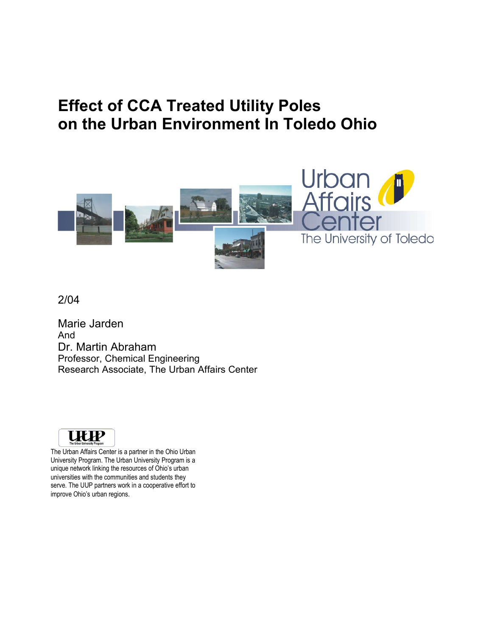# **Effect of CCA Treated Utility Poles on the Urban Environment In Toledo Ohio**



2/04

Marie Jarden And Dr. Martin Abraham Professor, Chemical Engineering Research Associate, The Urban Affairs Center



The Urban Affairs Center is a partner in the Ohio Urban University Program. The Urban University Program is a unique network linking the resources of Ohio's urban universities with the communities and students they serve. The UUP partners work in a cooperative effort to improve Ohio's urban regions.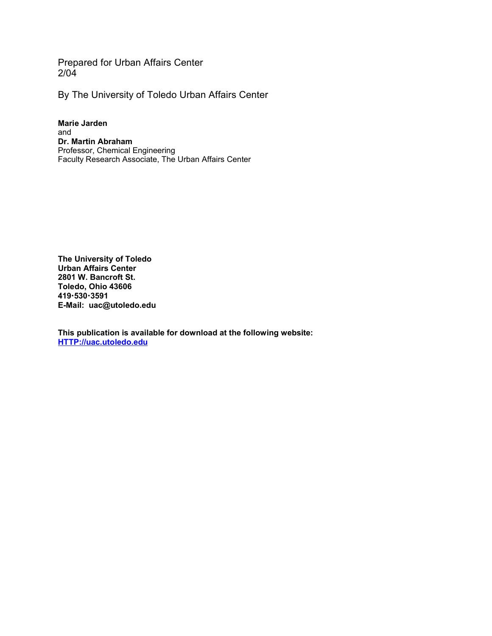Prepared for Urban Affairs Center 2/04

By The University of Toledo Urban Affairs Center

**Marie Jarden** and **Dr. Martin Abraham** Professor, Chemical Engineering Faculty Research Associate, The Urban Affairs Center

**The University of Toledo Urban Affairs Center 2801 W. Bancroft St. Toledo, Ohio 43606 4195303591 E-Mail: uac@utoledo.edu**

**This publication is available for download at the following website: HTTP://uac.utoledo.edu**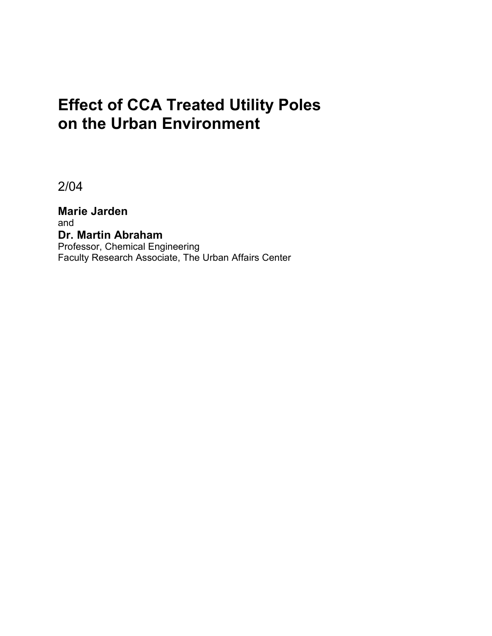# **Effect of CCA Treated Utility Poles on the Urban Environment**

2/04

**Marie Jarden** and **Dr. Martin Abraham** Professor, Chemical Engineering Faculty Research Associate, The Urban Affairs Center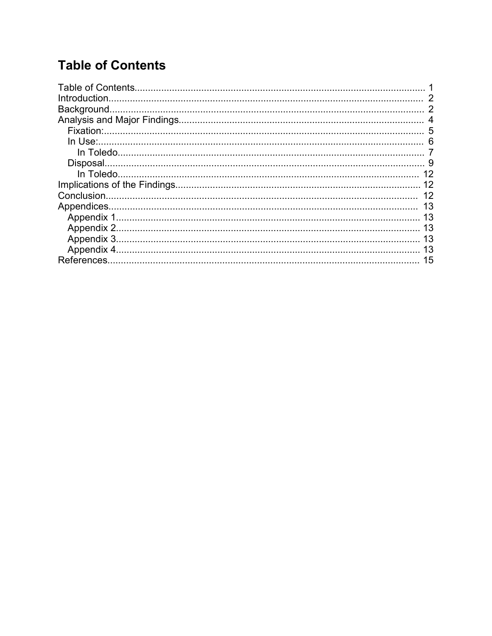# **Table of Contents**

| Introduction. |    |
|---------------|----|
|               |    |
|               |    |
|               | 5  |
|               |    |
|               |    |
|               |    |
|               | 12 |
|               |    |
|               | 12 |
|               | 13 |
|               | 13 |
|               |    |
|               | 13 |
|               | 13 |
|               | 15 |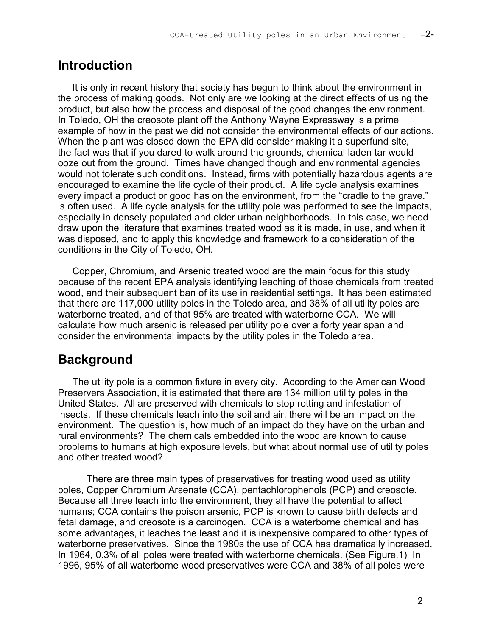### **Introduction**

It is only in recent history that society has begun to think about the environment in the process of making goods. Not only are we looking at the direct effects of using the product, but also how the process and disposal of the good changes the environment. In Toledo, OH the creosote plant off the Anthony Wayne Expressway is a prime example of how in the past we did not consider the environmental effects of our actions. When the plant was closed down the EPA did consider making it a superfund site, the fact was that if you dared to walk around the grounds, chemical laden tar would ooze out from the ground. Times have changed though and environmental agencies would not tolerate such conditions. Instead, firms with potentially hazardous agents are encouraged to examine the life cycle of their product. A life cycle analysis examines every impact a product or good has on the environment, from the "cradle to the grave." is often used. A life cycle analysis for the utility pole was performed to see the impacts, especially in densely populated and older urban neighborhoods. In this case, we need draw upon the literature that examines treated wood as it is made, in use, and when it was disposed, and to apply this knowledge and framework to a consideration of the conditions in the City of Toledo, OH.

Copper, Chromium, and Arsenic treated wood are the main focus for this study because of the recent EPA analysis identifying leaching of those chemicals from treated wood, and their subsequent ban of its use in residential settings. It has been estimated that there are 117,000 utility poles in the Toledo area, and 38% of all utility poles are waterborne treated, and of that 95% are treated with waterborne CCA. We will calculate how much arsenic is released per utility pole over a forty year span and consider the environmental impacts by the utility poles in the Toledo area.

### **Background**

The utility pole is a common fixture in every city. According to the American Wood Preservers Association, it is estimated that there are 134 million utility poles in the United States. All are preserved with chemicals to stop rotting and infestation of insects. If these chemicals leach into the soil and air, there will be an impact on the environment. The question is, how much of an impact do they have on the urban and rural environments? The chemicals embedded into the wood are known to cause problems to humans at high exposure levels, but what about normal use of utility poles and other treated wood?

There are three main types of preservatives for treating wood used as utility poles, Copper Chromium Arsenate (CCA), pentachlorophenols (PCP) and creosote. Because all three leach into the environment, they all have the potential to affect humans; CCA contains the poison arsenic, PCP is known to cause birth defects and fetal damage, and creosote is a carcinogen. CCA is a waterborne chemical and has some advantages, it leaches the least and it is inexpensive compared to other types of waterborne preservatives. Since the 1980s the use of CCA has dramatically increased. In 1964, 0.3% of all poles were treated with waterborne chemicals. (See Figure.1) In 1996, 95% of all waterborne wood preservatives were CCA and 38% of all poles were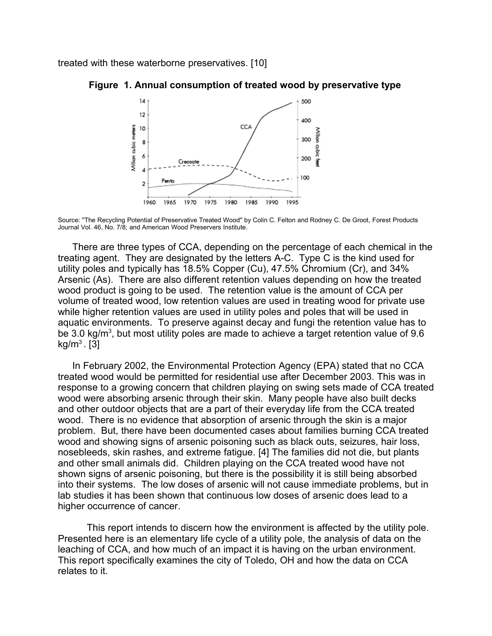treated with these waterborne preservatives. [10]



#### **Figure 1. Annual consumption of treated wood by preservative type**

Source: "The Recycling Potential of Preservative Treated Wood" by Colin C. Felton and Rodney C. De Groot, Forest Products Journal Vol. 46, No. 7/8; and American Wood Preservers Institute.

There are three types of CCA, depending on the percentage of each chemical in the treating agent. They are designated by the letters A-C. Type C is the kind used for utility poles and typically has 18.5% Copper (Cu), 47.5% Chromium (Cr), and 34% Arsenic (As). There are also different retention values depending on how the treated wood product is going to be used. The retention value is the amount of CCA per volume of treated wood, low retention values are used in treating wood for private use while higher retention values are used in utility poles and poles that will be used in aquatic environments. To preserve against decay and fungi the retention value has to be 3.0 kg/m<sup>3</sup>, but most utility poles are made to achieve a target retention value of 9.6  $kg/m<sup>3</sup>$ . [3]

In February 2002, the Environmental Protection Agency (EPA) stated that no CCA treated wood would be permitted for residential use after December 2003. This was in response to a growing concern that children playing on swing sets made of CCA treated wood were absorbing arsenic through their skin. Many people have also built decks and other outdoor objects that are a part of their everyday life from the CCA treated wood. There is no evidence that absorption of arsenic through the skin is a major problem. But, there have been documented cases about families burning CCA treated wood and showing signs of arsenic poisoning such as black outs, seizures, hair loss, nosebleeds, skin rashes, and extreme fatigue. [4] The families did not die, but plants and other small animals did. Children playing on the CCA treated wood have not shown signs of arsenic poisoning, but there is the possibility it is still being absorbed into their systems. The low doses of arsenic will not cause immediate problems, but in lab studies it has been shown that continuous low doses of arsenic does lead to a higher occurrence of cancer.

This report intends to discern how the environment is affected by the utility pole. Presented here is an elementary life cycle of a utility pole, the analysis of data on the leaching of CCA, and how much of an impact it is having on the urban environment. This report specifically examines the city of Toledo, OH and how the data on CCA relates to it.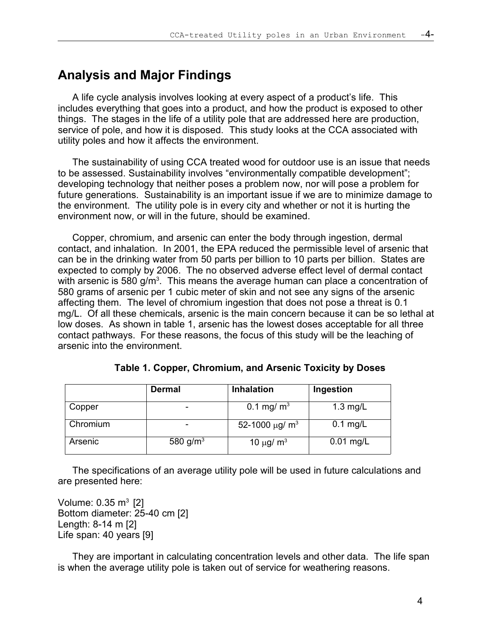### **Analysis and Major Findings**

A life cycle analysis involves looking at every aspect of a product's life. This includes everything that goes into a product, and how the product is exposed to other things. The stages in the life of a utility pole that are addressed here are production, service of pole, and how it is disposed. This study looks at the CCA associated with utility poles and how it affects the environment.

The sustainability of using CCA treated wood for outdoor use is an issue that needs to be assessed. Sustainability involves "environmentally compatible development"; developing technology that neither poses a problem now, nor will pose a problem for future generations. Sustainability is an important issue if we are to minimize damage to the environment. The utility pole is in every city and whether or not it is hurting the environment now, or will in the future, should be examined.

Copper, chromium, and arsenic can enter the body through ingestion, dermal contact, and inhalation. In 2001, the EPA reduced the permissible level of arsenic that can be in the drinking water from 50 parts per billion to 10 parts per billion. States are expected to comply by 2006. The no observed adverse effect level of dermal contact with arsenic is 580 g/m<sup>3</sup>. This means the average human can place a concentration of 580 grams of arsenic per 1 cubic meter of skin and not see any signs of the arsenic affecting them. The level of chromium ingestion that does not pose a threat is 0.1 mg/L. Of all these chemicals, arsenic is the main concern because it can be so lethal at low doses. As shown in table 1, arsenic has the lowest doses acceptable for all three contact pathways. For these reasons, the focus of this study will be the leaching of arsenic into the environment.

|          | <b>Dermal</b>        | <b>Inhalation</b>               | Ingestion   |
|----------|----------------------|---------------------------------|-------------|
| Copper   | ۰                    | 0.1 mg/ $m^3$                   | $1.3$ mg/L  |
| Chromium |                      | 52-1000 $\mu$ g/ m <sup>3</sup> | $0.1$ mg/L  |
| Arsenic  | 580 g/m <sup>3</sup> | 10 $\mu$ g/ m <sup>3</sup>      | $0.01$ mg/L |

| Table 1. Copper, Chromium, and Arsenic Toxicity by Doses |  |  |  |  |
|----------------------------------------------------------|--|--|--|--|
|----------------------------------------------------------|--|--|--|--|

The specifications of an average utility pole will be used in future calculations and are presented here:

Volume: 0.35 m $3$  [2] Bottom diameter: 25-40 cm [2] Length: 8-14 m [2] Life span: 40 years [9]

They are important in calculating concentration levels and other data. The life span is when the average utility pole is taken out of service for weathering reasons.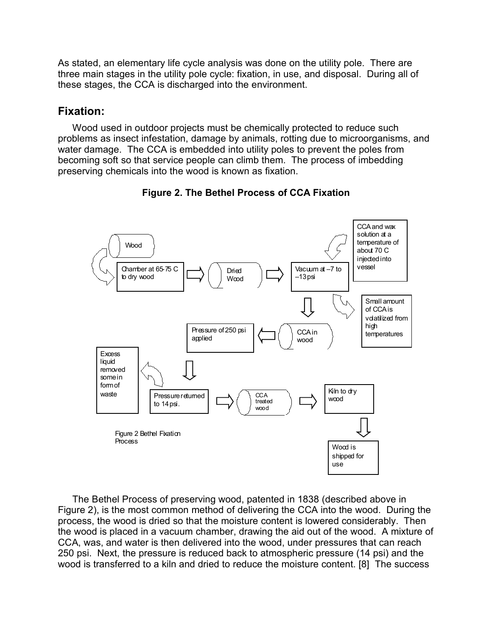As stated, an elementary life cycle analysis was done on the utility pole. There are three main stages in the utility pole cycle: fixation, in use, and disposal. During all of these stages, the CCA is discharged into the environment.

### **Fixation:**

Wood used in outdoor projects must be chemically protected to reduce such problems as insect infestation, damage by animals, rotting due to microorganisms, and water damage. The CCA is embedded into utility poles to prevent the poles from becoming soft so that service people can climb them. The process of imbedding preserving chemicals into the wood is known as fixation.



### **Figure 2. The Bethel Process of CCA Fixation**

The Bethel Process of preserving wood, patented in 1838 (described above in Figure 2), is the most common method of delivering the CCA into the wood. During the process, the wood is dried so that the moisture content is lowered considerably. Then the wood is placed in a vacuum chamber, drawing the aid out of the wood. A mixture of CCA, was, and water is then delivered into the wood, under pressures that can reach 250 psi. Next, the pressure is reduced back to atmospheric pressure (14 psi) and the wood is transferred to a kiln and dried to reduce the moisture content. [8] The success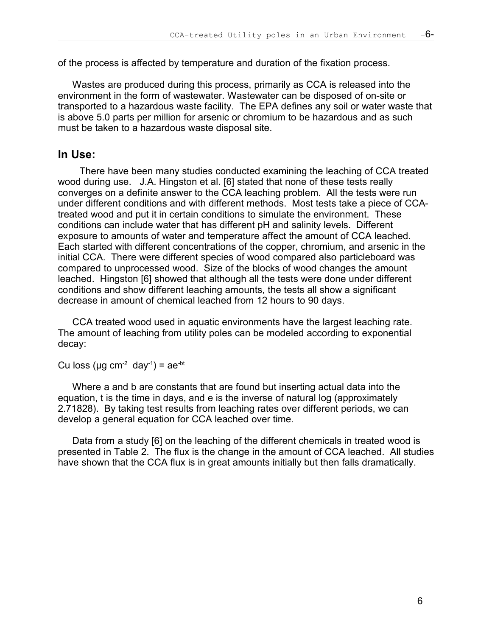of the process is affected by temperature and duration of the fixation process.

Wastes are produced during this process, primarily as CCA is released into the environment in the form of wastewater. Wastewater can be disposed of on-site or transported to a hazardous waste facility. The EPA defines any soil or water waste that is above 5.0 parts per million for arsenic or chromium to be hazardous and as such must be taken to a hazardous waste disposal site.

### **In Use:**

There have been many studies conducted examining the leaching of CCA treated wood during use. J.A. Hingston et al. [6] stated that none of these tests really converges on a definite answer to the CCA leaching problem. All the tests were run under different conditions and with different methods. Most tests take a piece of CCAtreated wood and put it in certain conditions to simulate the environment. These conditions can include water that has different pH and salinity levels. Different exposure to amounts of water and temperature affect the amount of CCA leached. Each started with different concentrations of the copper, chromium, and arsenic in the initial CCA. There were different species of wood compared also particleboard was compared to unprocessed wood. Size of the blocks of wood changes the amount leached. Hingston [6] showed that although all the tests were done under different conditions and show different leaching amounts, the tests all show a significant decrease in amount of chemical leached from 12 hours to 90 days.

CCA treated wood used in aquatic environments have the largest leaching rate. The amount of leaching from utility poles can be modeled according to exponential decay:

Cu loss ( $\mu$ g cm<sup>-2</sup> day<sup>-1</sup>) = ae<sup>-bt</sup>

Where a and b are constants that are found but inserting actual data into the equation, t is the time in days, and e is the inverse of natural log (approximately 2.71828). By taking test results from leaching rates over different periods, we can develop a general equation for CCA leached over time.

Data from a study [6] on the leaching of the different chemicals in treated wood is presented in Table 2. The flux is the change in the amount of CCA leached. All studies have shown that the CCA flux is in great amounts initially but then falls dramatically.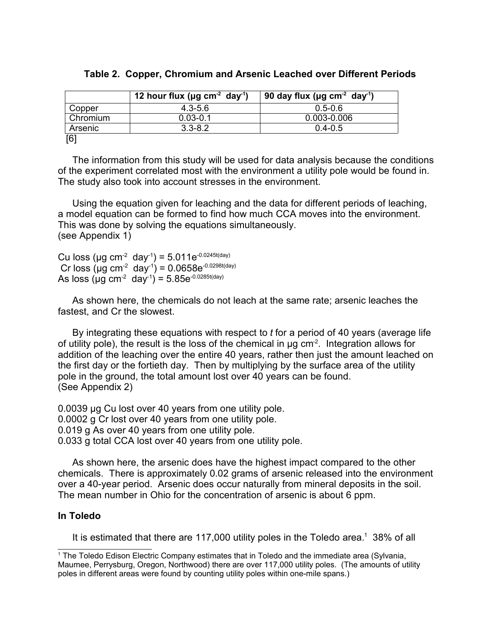|  |  | Table 2. Copper, Chromium and Arsenic Leached over Different Periods |  |  |  |  |  |  |
|--|--|----------------------------------------------------------------------|--|--|--|--|--|--|
|--|--|----------------------------------------------------------------------|--|--|--|--|--|--|

|          | 12 hour flux ( $\mu$ g cm <sup>-2</sup> day <sup>-1</sup> ) | 90 day flux (µg cm <sup>-2</sup> day <sup>-1</sup> ) |
|----------|-------------------------------------------------------------|------------------------------------------------------|
| Copper   | $4.3 - 5.6$                                                 | $0.5 - 0.6$                                          |
| Chromium | $0.03 - 0.1$                                                | 0.003-0.006                                          |
| Arsenic  | $3.3 - 8.2$                                                 | $0.4 - 0.5$                                          |
| [6]      |                                                             |                                                      |

The information from this study will be used for data analysis because the conditions of the experiment correlated most with the environment a utility pole would be found in. The study also took into account stresses in the environment.

Using the equation given for leaching and the data for different periods of leaching, a model equation can be formed to find how much CCA moves into the environment. This was done by solving the equations simultaneously. (see Appendix 1)

Cu loss (µg cm<sup>-2</sup> day<sup>-1</sup>) = 5.011e<sup>-0.0245t(day)</sup> Cr loss (µg cm<sup>-2</sup> day<sup>-1</sup>) = 0.0658e<sup>-0.0298t(day)</sup> As loss (µg cm $^{-2}$  day $^{-1}$ ) = 5.85e $^{\text{-0.0285t(day)}}$ 

As shown here, the chemicals do not leach at the same rate; arsenic leaches the fastest, and Cr the slowest.

By integrating these equations with respect to *t* for a period of 40 years (average life of utility pole), the result is the loss of the chemical in  $\mu$ g cm<sup>-2</sup>. Integration allows for addition of the leaching over the entire 40 years, rather then just the amount leached on the first day or the fortieth day. Then by multiplying by the surface area of the utility pole in the ground, the total amount lost over 40 years can be found. (See Appendix 2)

0.0039 μg Cu lost over 40 years from one utility pole. 0.0002 g Cr lost over 40 years from one utility pole. 0.019 g As over 40 years from one utility pole. 0.033 g total CCA lost over 40 years from one utility pole.

As shown here, the arsenic does have the highest impact compared to the other chemicals. There is approximately 0.02 grams of arsenic released into the environment over a 40-year period. Arsenic does occur naturally from mineral deposits in the soil. The mean number in Ohio for the concentration of arsenic is about 6 ppm.

#### **In Toledo**

It is estimated that there are 117,000 utility poles in the Toledo area.<sup>1</sup> 38% of all

<sup>1</sup> The Toledo Edison Electric Company estimates that in Toledo and the immediate area (Sylvania, Maumee, Perrysburg, Oregon, Northwood) there are over 117,000 utility poles. (The amounts of utility poles in different areas were found by counting utility poles within one-mile spans.)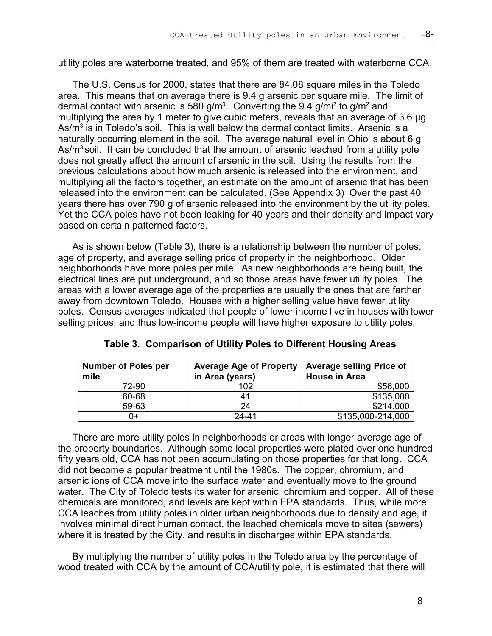utility poles are waterborne treated, and 95% of them are treated with waterborne CCA.

The U.S. Census for 2000, states that there are 84.08 square miles in the Toledo area. This means that on average there is 9.4 g arsenic per square mile. The limit of dermal contact with arsenic is 580 g/m<sup>3</sup>. Converting the 9.4 g/mi<sup>2</sup> to g/m<sup>2</sup> and multiplying the area by 1 meter to give cubic meters, reveals that an average of 3.6 µg As/m<sup>3</sup> is in Toledo's soil. This is well below the dermal contact limits. Arsenic is a naturally occurring element in the soil. The average natural level in Ohio is about 6 g As/ $m<sup>3</sup>$  soil. It can be concluded that the amount of arsenic leached from a utility pole does not greatly affect the amount of arsenic in the soil. Using the results from the previous calculations about how much arsenic is released into the environment, and multiplying all the factors together, an estimate on the amount of arsenic that has been released into the environment can be calculated. (See Appendix 3) Over the past 40 years there has over 790 g of arsenic released into the environment by the utility poles. Yet the CCA poles have not been leaking for 40 years and their density and impact vary based on certain patterned factors.

As is shown below (Table 3), there is a relationship between the number of poles, age of property, and average selling price of property in the neighborhood. Older neighborhoods have more poles per mile. As new neighborhoods are being built, the electrical lines are put underground, and so those areas have fewer utility poles. The areas with a lower average age of the properties are usually the ones that are farther away from downtown Toledo. Houses with a higher selling value have fewer utility poles. Census averages indicated that people of lower income live in houses with lower selling prices, and thus low-income people will have higher exposure to utility poles.

| <b>Number of Poles per</b> | <b>Average Age of Property</b> | <b>Average selling Price of</b> |
|----------------------------|--------------------------------|---------------------------------|
| mile                       | in Area (years)                | <b>House in Area</b>            |
| 72-90                      | 102                            | \$56,000                        |
| 60-68                      | 41                             | \$135,000                       |
| 59-63                      | 24                             | \$214,000                       |
| 0+                         | $24 - 41$                      | \$135,000-214,000               |

 **Table 3. Comparison of Utility Poles to Different Housing Areas**

There are more utility poles in neighborhoods or areas with longer average age of the property boundaries. Although some local properties were plated over one hundred fifty years old, CCA has not been accumulating on those properties for that long. CCA did not become a popular treatment until the 1980s. The copper, chromium, and arsenic ions of CCA move into the surface water and eventually move to the ground water. The City of Toledo tests its water for arsenic, chromium and copper. All of these chemicals are monitored, and levels are kept within EPA standards. Thus, while more CCA leaches from utility poles in older urban neighborhoods due to density and age, it involves minimal direct human contact, the leached chemicals move to sites (sewers) where it is treated by the City, and results in discharges within EPA standards.

By multiplying the number of utility poles in the Toledo area by the percentage of wood treated with CCA by the amount of CCA/utility pole, it is estimated that there will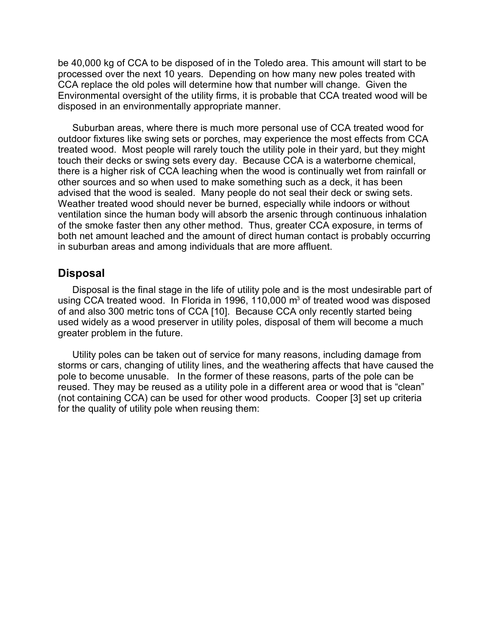be 40,000 kg of CCA to be disposed of in the Toledo area. This amount will start to be processed over the next 10 years. Depending on how many new poles treated with CCA replace the old poles will determine how that number will change. Given the Environmental oversight of the utility firms, it is probable that CCA treated wood will be disposed in an environmentally appropriate manner.

Suburban areas, where there is much more personal use of CCA treated wood for outdoor fixtures like swing sets or porches, may experience the most effects from CCA treated wood. Most people will rarely touch the utility pole in their yard, but they might touch their decks or swing sets every day. Because CCA is a waterborne chemical, there is a higher risk of CCA leaching when the wood is continually wet from rainfall or other sources and so when used to make something such as a deck, it has been advised that the wood is sealed. Many people do not seal their deck or swing sets. Weather treated wood should never be burned, especially while indoors or without ventilation since the human body will absorb the arsenic through continuous inhalation of the smoke faster then any other method. Thus, greater CCA exposure, in terms of both net amount leached and the amount of direct human contact is probably occurring in suburban areas and among individuals that are more affluent.

#### **Disposal**

Disposal is the final stage in the life of utility pole and is the most undesirable part of using CCA treated wood. In Florida in 1996, 110,000  $\text{m}^3$  of treated wood was disposed of and also 300 metric tons of CCA [10]. Because CCA only recently started being used widely as a wood preserver in utility poles, disposal of them will become a much greater problem in the future.

Utility poles can be taken out of service for many reasons, including damage from storms or cars, changing of utility lines, and the weathering affects that have caused the pole to become unusable. In the former of these reasons, parts of the pole can be reused. They may be reused as a utility pole in a different area or wood that is "clean" (not containing CCA) can be used for other wood products. Cooper [3] set up criteria for the quality of utility pole when reusing them: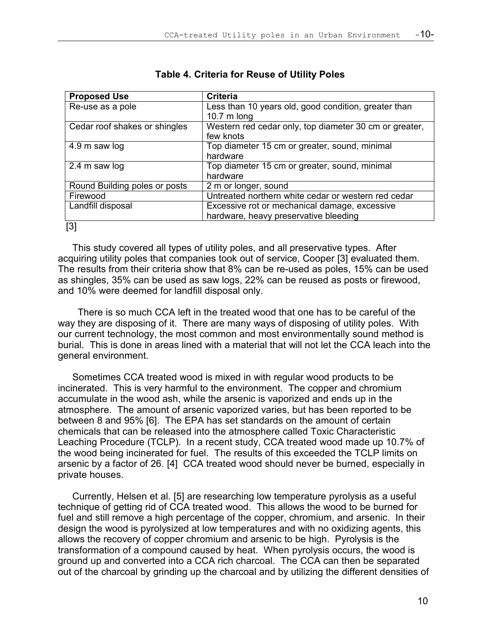| <b>Proposed Use</b>           | <b>Criteria</b>                                        |
|-------------------------------|--------------------------------------------------------|
| Re-use as a pole              | Less than 10 years old, good condition, greater than   |
|                               | 10.7 $m$ long                                          |
| Cedar roof shakes or shingles | Western red cedar only, top diameter 30 cm or greater, |
|                               | few knots                                              |
| 4.9 m saw log                 | Top diameter 15 cm or greater, sound, minimal          |
|                               | hardware                                               |
| 2.4 m saw log                 | Top diameter 15 cm or greater, sound, minimal          |
|                               | hardware                                               |
| Round Building poles or posts | 2 m or longer, sound                                   |
| Firewood                      | Untreated northern white cedar or western red cedar    |
| Landfill disposal             | Excessive rot or mechanical damage, excessive          |
|                               | hardware, heavy preservative bleeding                  |
| [3]                           |                                                        |

#### **Table 4. Criteria for Reuse of Utility Poles**

This study covered all types of utility poles, and all preservative types. After acquiring utility poles that companies took out of service, Cooper [3] evaluated them. The results from their criteria show that 8% can be re-used as poles, 15% can be used as shingles, 35% can be used as saw logs, 22% can be reused as posts or firewood, and 10% were deemed for landfill disposal only.

 There is so much CCA left in the treated wood that one has to be careful of the way they are disposing of it. There are many ways of disposing of utility poles. With our current technology, the most common and most environmentally sound method is burial. This is done in areas lined with a material that will not let the CCA leach into the general environment.

Sometimes CCA treated wood is mixed in with regular wood products to be incinerated. This is very harmful to the environment. The copper and chromium accumulate in the wood ash, while the arsenic is vaporized and ends up in the atmosphere. The amount of arsenic vaporized varies, but has been reported to be between 8 and 95% [6]. The EPA has set standards on the amount of certain chemicals that can be released into the atmosphere called Toxic Characteristic Leaching Procedure (TCLP). In a recent study, CCA treated wood made up 10.7% of the wood being incinerated for fuel. The results of this exceeded the TCLP limits on arsenic by a factor of 26. [4] CCA treated wood should never be burned, especially in private houses.

Currently, Helsen et al. [5] are researching low temperature pyrolysis as a useful technique of getting rid of CCA treated wood. This allows the wood to be burned for fuel and still remove a high percentage of the copper, chromium, and arsenic. In their design the wood is pyrolysized at low temperatures and with no oxidizing agents, this allows the recovery of copper chromium and arsenic to be high. Pyrolysis is the transformation of a compound caused by heat. When pyrolysis occurs, the wood is ground up and converted into a CCA rich charcoal. The CCA can then be separated out of the charcoal by grinding up the charcoal and by utilizing the different densities of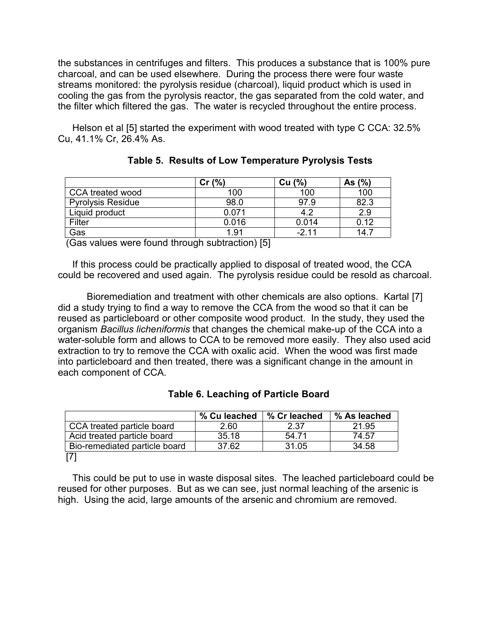the substances in centrifuges and filters. This produces a substance that is 100% pure charcoal, and can be used elsewhere. During the process there were four waste streams monitored: the pyrolysis residue (charcoal), liquid product which is used in cooling the gas from the pyrolysis reactor, the gas separated from the cold water, and the filter which filtered the gas. The water is recycled throughout the entire process.

Helson et al [5] started the experiment with wood treated with type C CCA: 32.5% Cu, 41.1% Cr, 26.4% As.

|                          | Cr(%) | Cu (%) | As $(\% )$ |
|--------------------------|-------|--------|------------|
| CCA treated wood         | 100   | 100    | 100        |
| <b>Pyrolysis Residue</b> | 98.0  | 97.9   | 82.3       |
| Liquid product           | 0.071 | 4.2    | 2.9        |
| Filter                   | 0.016 | 0.014  | 0.12       |
| Gas                      | 1.91  | $-211$ | 14.7       |

|  |  | <b>Table 5. Results of Low Temperature Pyrolysis Tests</b> |  |  |  |
|--|--|------------------------------------------------------------|--|--|--|
|--|--|------------------------------------------------------------|--|--|--|

(Gas values were found through subtraction) [5]

If this process could be practically applied to disposal of treated wood, the CCA could be recovered and used again. The pyrolysis residue could be resold as charcoal.

Bioremediation and treatment with other chemicals are also options. Kartal [7] did a study trying to find a way to remove the CCA from the wood so that it can be reused as particleboard or other composite wood product. In the study, they used the organism *Bacillus licheniformis* that changes the chemical make-up of the CCA into a water-soluble form and allows to CCA to be removed more easily. They also used acid extraction to try to remove the CCA with oxalic acid. When the wood was first made into particleboard and then treated, there was a significant change in the amount in each component of CCA.

|                               | % Cu leached | % Cr leached | % As leached |
|-------------------------------|--------------|--------------|--------------|
| CCA treated particle board    | 2.60         | 2.37         | 21.95        |
| Acid treated particle board   | 35.18        | 54 71        | 74.57        |
| Bio-remediated particle board | 37.62        | 31.05        | 34.58        |
|                               |              |              |              |

This could be put to use in waste disposal sites. The leached particleboard could be reused for other purposes. But as we can see, just normal leaching of the arsenic is high. Using the acid, large amounts of the arsenic and chromium are removed.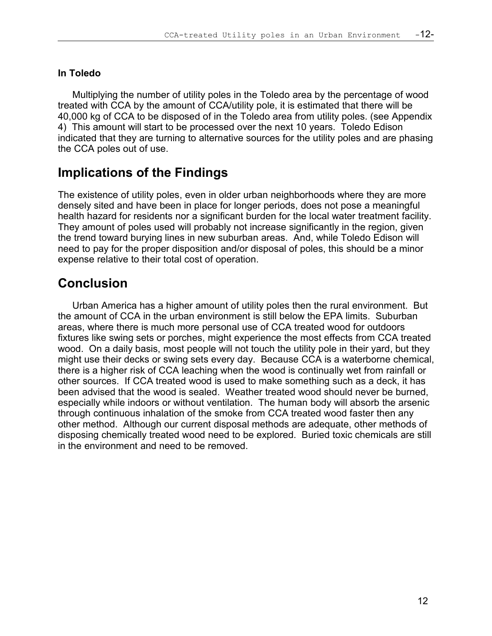#### **In Toledo**

Multiplying the number of utility poles in the Toledo area by the percentage of wood treated with CCA by the amount of CCA/utility pole, it is estimated that there will be 40,000 kg of CCA to be disposed of in the Toledo area from utility poles. (see Appendix 4) This amount will start to be processed over the next 10 years. Toledo Edison indicated that they are turning to alternative sources for the utility poles and are phasing the CCA poles out of use.

## **Implications of the Findings**

The existence of utility poles, even in older urban neighborhoods where they are more densely sited and have been in place for longer periods, does not pose a meaningful health hazard for residents nor a significant burden for the local water treatment facility. They amount of poles used will probably not increase significantly in the region, given the trend toward burying lines in new suburban areas. And, while Toledo Edison will need to pay for the proper disposition and/or disposal of poles, this should be a minor expense relative to their total cost of operation.

## **Conclusion**

Urban America has a higher amount of utility poles then the rural environment. But the amount of CCA in the urban environment is still below the EPA limits. Suburban areas, where there is much more personal use of CCA treated wood for outdoors fixtures like swing sets or porches, might experience the most effects from CCA treated wood. On a daily basis, most people will not touch the utility pole in their yard, but they might use their decks or swing sets every day. Because CCA is a waterborne chemical, there is a higher risk of CCA leaching when the wood is continually wet from rainfall or other sources. If CCA treated wood is used to make something such as a deck, it has been advised that the wood is sealed. Weather treated wood should never be burned, especially while indoors or without ventilation. The human body will absorb the arsenic through continuous inhalation of the smoke from CCA treated wood faster then any other method. Although our current disposal methods are adequate, other methods of disposing chemically treated wood need to be explored. Buried toxic chemicals are still in the environment and need to be removed.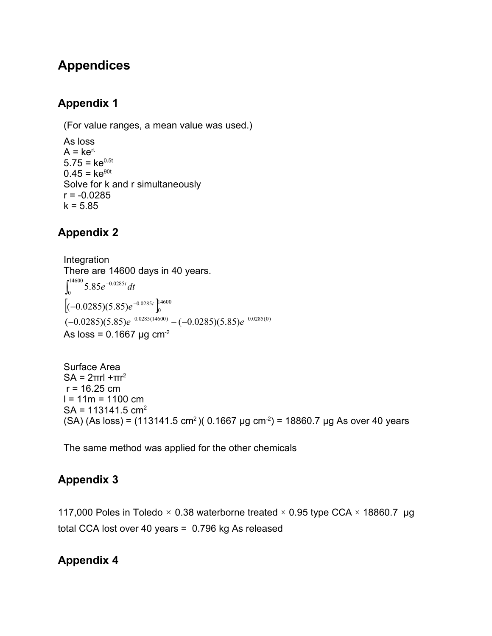## **Appendices**

### **Appendix 1**

(For value ranges, a mean value was used.)

As loss  $A = ke^{rt}$  $5.75 = ke^{0.5t}$  $0.45 = ke^{90t}$ Solve for k and r simultaneously  $r = -0.0285$  $k = 5.85$ 

## **Appendix 2**

Integration There are 14600 days in 40 years.  $\int_0^{14600} 5.85 e^{-0.0285t} dt$  $\int_{0}^{14000}$  5.85 $e^{-0.0285}$  $\left[(-0.0285)(5.85)e^{-0.0285t}\right]_0^{14600}$  $\bf{0}$  $(-0.0285)(5.85)e^{-0.0285t}$  $(-0.0285)(5.85)e^{-0.0285(14600)} - (-0.0285)(5.85)e^{-0.0285(0)}$ As loss =  $0.1667 \mu g \text{ cm}^{-2}$ 

Surface Area SA =  $2\pi r l + \pi r^2$  $r = 16.25$  cm  $l = 11m = 1100$  cm  $SA = 113141.5$  cm<sup>2</sup> (SA) (As loss) = (113141.5 cm<sup>2</sup>)(0.1667 µg cm<sup>-2</sup>) = 18860.7 µg As over 40 years

The same method was applied for the other chemicals

### **Appendix 3**

117,000 Poles in Toledo  $\times$  0.38 waterborne treated  $\times$  0.95 type CCA  $\times$  18860.7 µg total CCA lost over 40 years = 0.796 kg As released

### **Appendix 4**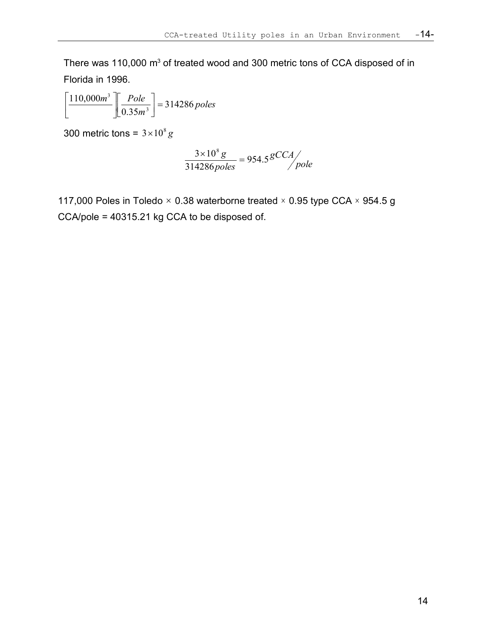There was 110,000 m<sup>3</sup> of treated wood and 300 metric tons of CCA disposed of in Florida in 1996.

$$
\left[\frac{110,000m^3}{0.35m^3}\right] = 314286 poles
$$

300 metric tons =  $3 \times 10^8$  g

$$
\frac{3\times10^{8}g}{314286 \rhooles} = 954.5 \frac{gCCA}{pole}
$$

117,000 Poles in Toledo  $\times$  0.38 waterborne treated  $\times$  0.95 type CCA  $\times$  954.5 g CCA/pole = 40315.21 kg CCA to be disposed of.